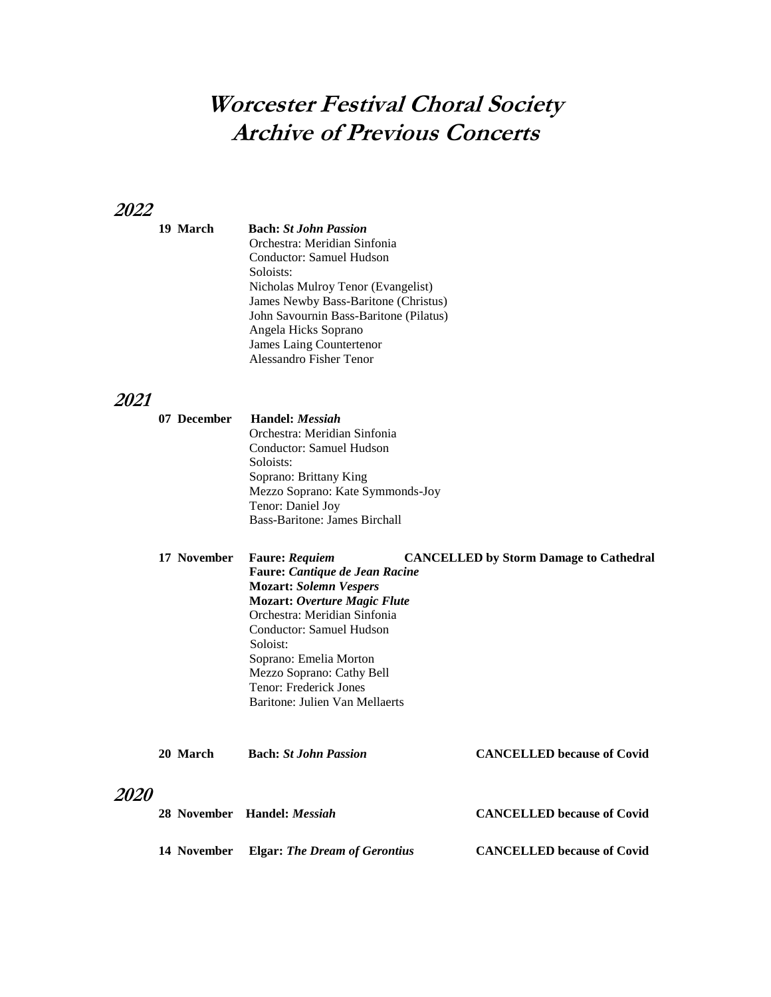# **Worcester Festival Choral Society Archive of Previous Concerts**

## **2022**

**19 March Bach:** *St John Passion* Orchestra: Meridian Sinfonia Conductor: Samuel Hudson Soloists: Nicholas Mulroy Tenor (Evangelist) James Newby Bass-Baritone (Christus) John Savournin Bass-Baritone (Pilatus) Angela Hicks Soprano James Laing Countertenor Alessandro Fisher Tenor

## **2021**

| 07 December | Handel: <i>Messiah</i>           |
|-------------|----------------------------------|
|             | Orchestra: Meridian Sinfonia     |
|             | Conductor: Samuel Hudson         |
|             | Soloists:                        |
|             | Soprano: Brittany King           |
|             | Mezzo Soprano: Kate Symmonds-Joy |
|             | Tenor: Daniel Joy                |
|             | Bass-Baritone: James Birchall    |

**17 November Faure:** *Requiem* **CANCELLED by Storm Damage to Cathedral Faure:** *Cantique de Jean Racine* **Mozart:** *Solemn Vespers*  **Mozart:** *Overture Magic Flute* Orchestra: Meridian Sinfonia Conductor: Samuel Hudson Soloist: Soprano: Emelia Morton Mezzo Soprano: Cathy Bell Tenor: Frederick Jones Baritone: Julien Van Mellaerts

|             | 20 March    | <b>Bach:</b> St John Passion         | <b>CANCELLED</b> because of Covid |
|-------------|-------------|--------------------------------------|-----------------------------------|
| <i>2020</i> |             |                                      |                                   |
|             |             | 28 November Handel: <i>Messiah</i>   | <b>CANCELLED</b> because of Covid |
|             | 14 November | <b>Elgar: The Dream of Gerontius</b> | <b>CANCELLED</b> because of Covid |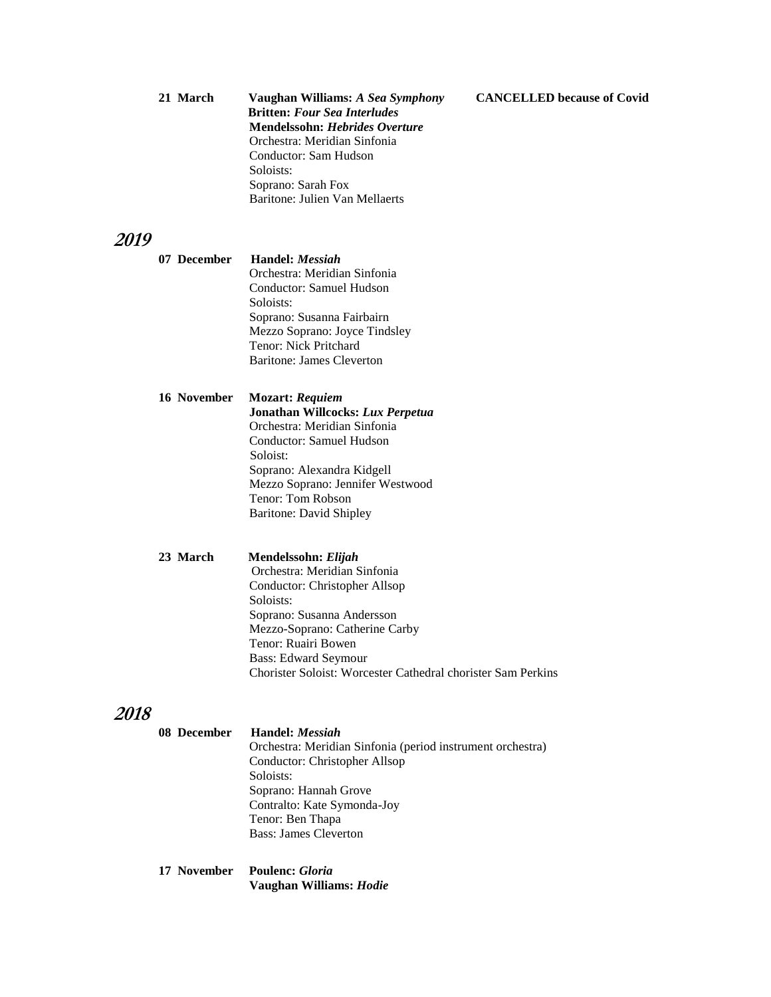#### **21 March Vaughan Williams:** *A Sea Symphony* **CANCELLED because of Covid**

| 21 March | Vaughan Williams: A Sea Symphony      |  |
|----------|---------------------------------------|--|
|          | <b>Britten: Four Sea Interludes</b>   |  |
|          | <b>Mendelssohn: Hebrides Overture</b> |  |
|          | Orchestra: Meridian Sinfonia          |  |
|          | Conductor: Sam Hudson                 |  |
|          | Soloists:                             |  |
|          | Soprano: Sarah Fox                    |  |
|          | Baritone: Julien Van Mellaerts        |  |

#### **2019**

**07 December Handel:** *Messiah* Orchestra: Meridian Sinfonia

 Conductor: Samuel Hudson Soloists: Soprano: Susanna Fairbairn Mezzo Soprano: Joyce Tindsley Tenor: Nick Pritchard Baritone: James Cleverton

#### **16 November Mozart:** *Requiem*

 **Jonathan Willcocks:** *Lux Perpetua* Orchestra: Meridian Sinfonia Conductor: Samuel Hudson Soloist: Soprano: Alexandra Kidgell Mezzo Soprano: Jennifer Westwood Tenor: Tom Robson Baritone: David Shipley

**23 March Mendelssohn:** *Elijah*

Orchestra: Meridian Sinfonia Conductor: Christopher Allsop Soloists: Soprano: Susanna Andersson Mezzo-Soprano: Catherine Carby Tenor: Ruairi Bowen Bass: Edward Seymour Chorister Soloist: Worcester Cathedral chorister Sam Perkins

### **2018**

| 08 December | Handel: <i>Messiah</i>                                     |  |
|-------------|------------------------------------------------------------|--|
|             | Orchestra: Meridian Sinfonia (period instrument orchestra) |  |
|             | Conductor: Christopher Allsop                              |  |
|             | Soloists:                                                  |  |
|             | Soprano: Hannah Grove                                      |  |
|             | Contralto: Kate Symonda-Joy                                |  |
|             | Tenor: Ben Thapa                                           |  |
|             | Bass: James Cleverton                                      |  |
|             |                                                            |  |

**17 November Poulenc:** *Gloria*  **Vaughan Williams:** *Hodie*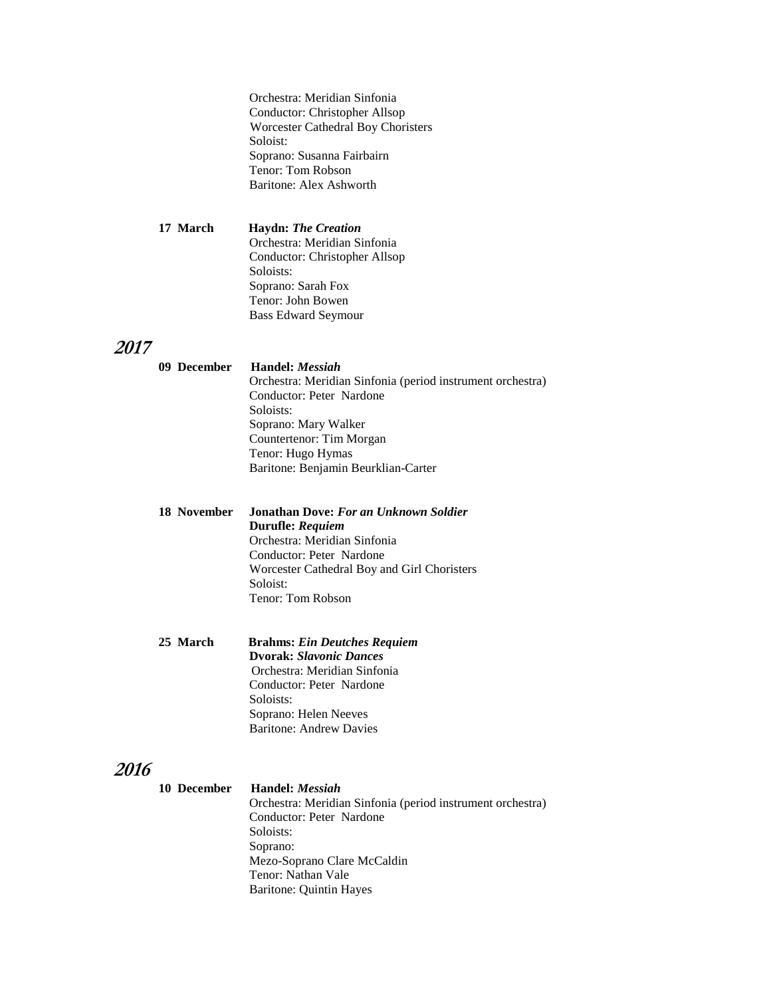Orchestra: Meridian Sinfonia Conductor: Christopher Allsop Worcester Cathedral Boy Choristers Soloist: Soprano: Susanna Fairbairn Tenor: Tom Robson Baritone: Alex Ashworth

**17 March Haydn:** *The Creation* Orchestra: Meridian Sinfonia Conductor: Christopher Allsop Soloists: Soprano: Sarah Fox Tenor: John Bowen Bass Edward Seymour

## **2017**

|                                        | 09 December Handel: Messiah<br>Orchestra: Meridian Sinfonia (period instrument orchestra)<br>Conductor: Peter Nardone<br>Soloists:<br>Soprano: Mary Walker<br>Countertenor: Tim Morgan<br>Tenor: Hugo Hymas |
|----------------------------------------|-------------------------------------------------------------------------------------------------------------------------------------------------------------------------------------------------------------|
|                                        | Baritone: Benjamin Beurklian-Carter                                                                                                                                                                         |
| 18 November                            | Jonathan Dove: For an Unknown Soldier<br>Durufle: Requiem<br>Orchestra: Meridian Sinfonia<br>Conductor: Peter Nardone<br>Worcester Cathedral Boy and Girl Choristers<br>Soloist:<br>Tenor: Tom Robson       |
| $25$ $M$ <sub>ana</sub> l <sub>a</sub> | Duchmas Ein Deutshes Desviers                                                                                                                                                                               |

**25 March Brahms:** *Ein Deutches Requiem* **Dvorak:** *Slavonic Dances* Orchestra: Meridian Sinfonia Conductor: Peter Nardone Soloists: Soprano: Helen Neeves Baritone: Andrew Davies

| 10 December | Handel: <i>Messiah</i>                                     |
|-------------|------------------------------------------------------------|
|             | Orchestra: Meridian Sinfonia (period instrument orchestra) |
|             | Conductor: Peter Nardone                                   |
|             | Soloists:                                                  |
|             | Soprano:                                                   |
|             | Mezo-Soprano Clare McCaldin                                |
|             | Tenor: Nathan Vale                                         |
|             | Baritone: Quintin Hayes                                    |
|             |                                                            |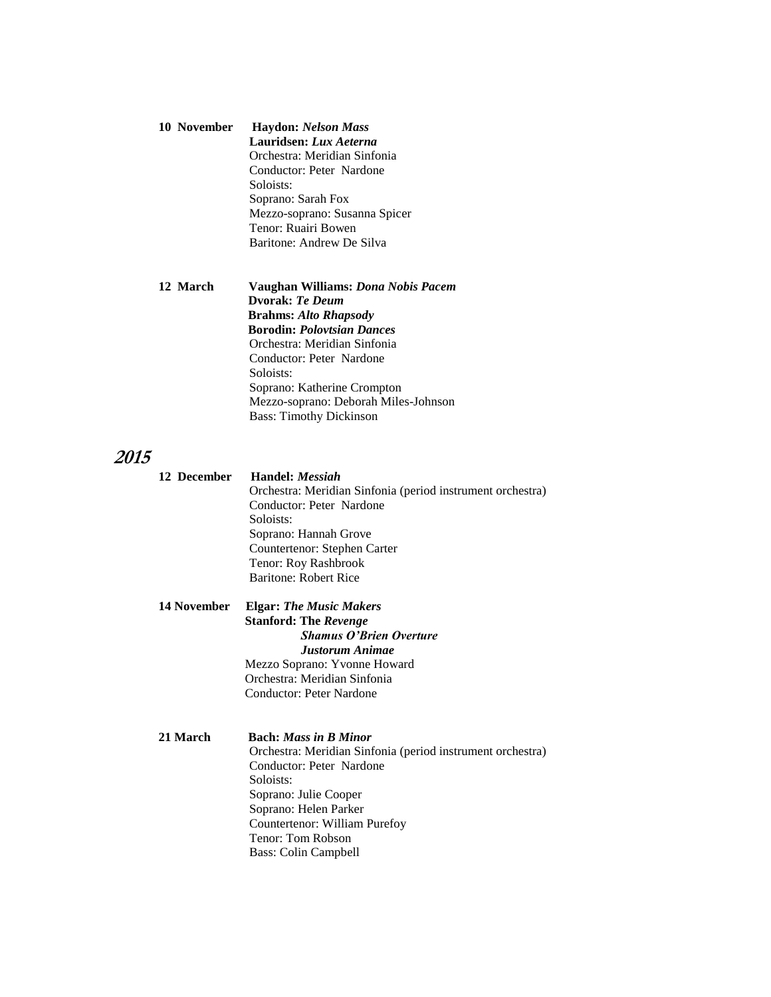| 10 November | <b>Haydon: Nelson Mass</b>    |  |
|-------------|-------------------------------|--|
|             | Lauridsen: Lux Aeterna        |  |
|             | Orchestra: Meridian Sinfonia  |  |
|             | Conductor: Peter Nardone      |  |
|             | Soloists:                     |  |
|             | Soprano: Sarah Fox            |  |
|             | Mezzo-soprano: Susanna Spicer |  |
|             | Tenor: Ruairi Bowen           |  |
|             | Baritone: Andrew De Silva     |  |

#### **12 March Vaughan Williams:** *Dona Nobis Pacem*  **Dvorak:** *Te Deum*  **Brahms:** *Alto Rhapsody*  **Borodin:** *Polovtsian Dances* Orchestra: Meridian Sinfonia Conductor: Peter Nardone Soloists: Soprano: Katherine Crompton Mezzo-soprano: Deborah Miles-Johnson Bass: Timothy Dickinson

| 12 December | Handel: <i>Messiah</i>                                     |  |  |
|-------------|------------------------------------------------------------|--|--|
|             | Orchestra: Meridian Sinfonia (period instrument orchestra) |  |  |
|             | Conductor: Peter Nardone                                   |  |  |
|             | Soloists:                                                  |  |  |
|             | Soprano: Hannah Grove                                      |  |  |
|             | Countertenor: Stephen Carter                               |  |  |
|             | Tenor: Roy Rashbrook                                       |  |  |
|             | <b>Baritone: Robert Rice</b>                               |  |  |
| 14 November | <b>Elgar: The Music Makers</b>                             |  |  |
|             | <b>Stanford: The Revenge</b>                               |  |  |
|             | <b>Shamus O'Brien Overture</b>                             |  |  |
|             | <b>Justorum Animae</b>                                     |  |  |
|             | Mezzo Soprano: Yvonne Howard                               |  |  |
|             | Orchestra: Meridian Sinfonia                               |  |  |
|             | <b>Conductor: Peter Nardone</b>                            |  |  |
| 21 March    | <b>Bach:</b> Mass in B Minor                               |  |  |
|             | Orchestra: Meridian Sinfonia (period instrument orchestra) |  |  |
|             | Conductor: Peter Nardone                                   |  |  |
|             | Soloists:                                                  |  |  |
|             | Soprano: Julie Cooper                                      |  |  |
|             | Soprano: Helen Parker                                      |  |  |
|             | Countertenor: William Purefoy                              |  |  |
|             | Tenor: Tom Robson                                          |  |  |
|             | Bass: Colin Campbell                                       |  |  |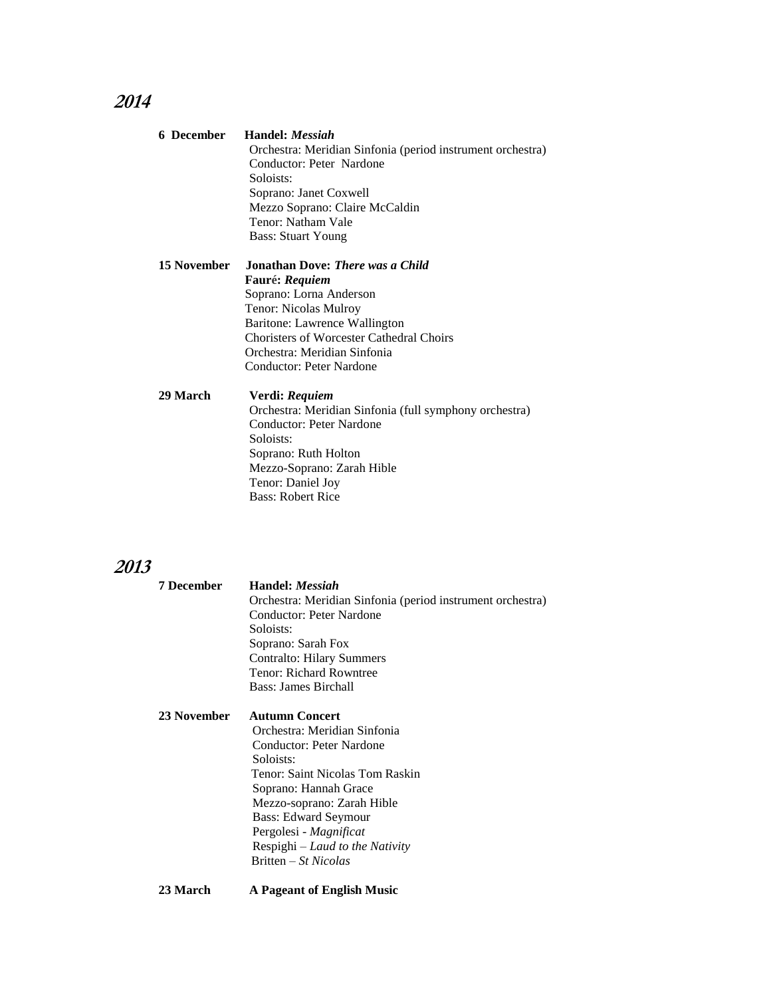| 6 December         | Handel: <i>Messiah</i>                                     |
|--------------------|------------------------------------------------------------|
|                    | Orchestra: Meridian Sinfonia (period instrument orchestra) |
|                    | Conductor: Peter Nardone                                   |
|                    | Soloists:                                                  |
|                    | Soprano: Janet Coxwell                                     |
|                    | Mezzo Soprano: Claire McCaldin                             |
|                    | Tenor: Natham Vale                                         |
|                    | <b>Bass: Stuart Young</b>                                  |
| <b>15 November</b> | Jonathan Dove: <i>There was a Child</i>                    |
|                    | Fauré: Requiem                                             |
|                    | Soprano: Lorna Anderson                                    |
|                    | Tenor: Nicolas Mulroy                                      |
|                    | Baritone: Lawrence Wallington                              |
|                    | <b>Choristers of Worcester Cathedral Choirs</b>            |
|                    | Orchestra: Meridian Sinfonia                               |
|                    | Conductor: Peter Nardone                                   |
| 29 March           | Verdi: Requiem                                             |
|                    | Orchestra: Meridian Sinfonia (full symphony orchestra)     |
|                    | Conductor: Peter Nardone                                   |
|                    | Soloists:                                                  |
|                    | Soprano: Ruth Holton                                       |
|                    | Mezzo-Soprano: Zarah Hible                                 |
|                    | Tenor: Daniel Joy                                          |
|                    | <b>Bass: Robert Rice</b>                                   |

# **2013**

| 7 December  | <b>Handel</b> : <i>Messiah</i><br>Orchestra: Meridian Sinfonia (period instrument orchestra)<br>Conductor: Peter Nardone<br>Soloists:<br>Soprano: Sarah Fox<br><b>Contralto: Hilary Summers</b><br>Tenor: Richard Rowntree<br>Bass: James Birchall                                                             |
|-------------|----------------------------------------------------------------------------------------------------------------------------------------------------------------------------------------------------------------------------------------------------------------------------------------------------------------|
| 23 November | <b>Autumn Concert</b><br>Orchestra: Meridian Sinfonia<br>Conductor: Peter Nardone<br>Soloists:<br>Tenor: Saint Nicolas Tom Raskin<br>Soprano: Hannah Grace<br>Mezzo-soprano: Zarah Hible<br><b>Bass: Edward Seymour</b><br>Pergolesi - Magnificat<br>Respighi – Laud to the Nativity<br>$Britten - St Nicolas$ |
|             |                                                                                                                                                                                                                                                                                                                |

**23 March A Pageant of English Music**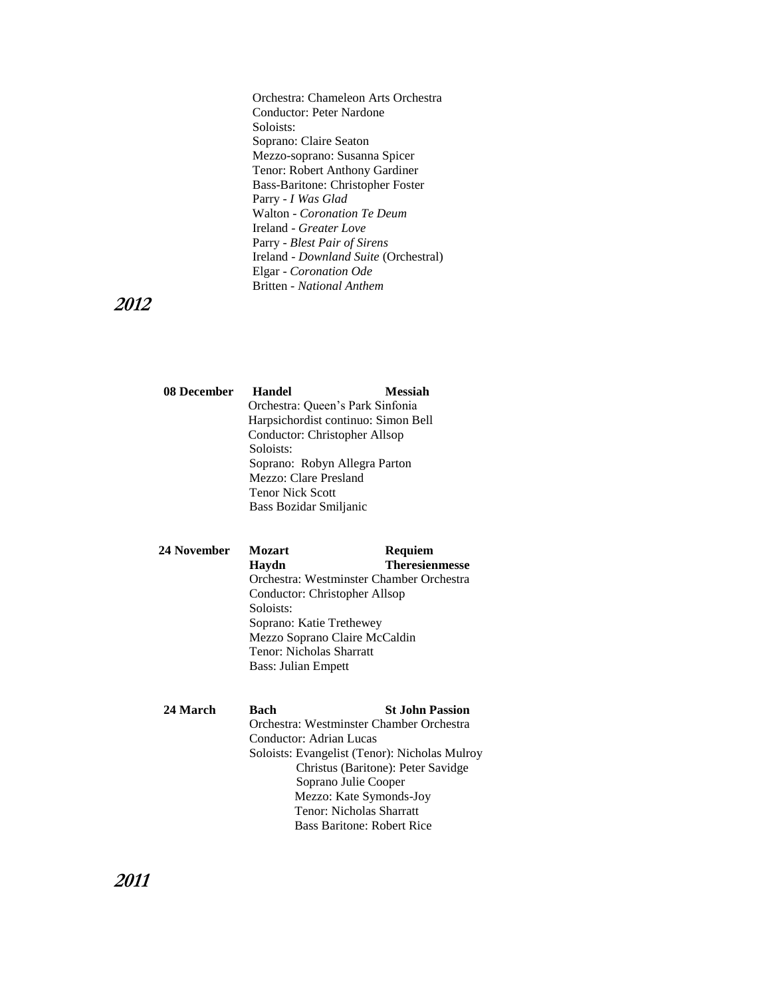Orchestra: Chameleon Arts Orchestra Conductor: Peter Nardone Soloists: Soprano: Claire Seaton Mezzo-soprano: Susanna Spicer Tenor: Robert Anthony Gardiner Bass-Baritone: Christopher Foster Parry - *I Was Glad* Walton - *Coronation Te Deum* Ireland - *Greater Love* Parry - *Blest Pair of Sirens* Ireland - *Downland Suite* (Orchestral) Elgar - *Coronation Ode* Britten *- National Anthem*

### **2012**

| Handel                              | Messiah |
|-------------------------------------|---------|
| Orchestra: Queen's Park Sinfonia    |         |
| Harpsichordist continuo: Simon Bell |         |
| Conductor: Christopher Allsop       |         |
| Soloists:                           |         |
| Soprano: Robyn Allegra Parton       |         |
| Mezzo: Clare Presland               |         |
| <b>Tenor Nick Scott</b>             |         |
| Bass Bozidar Smiljanic              |         |
|                                     |         |

#### **24 November Mozart Requiem Haydn Theresienmesse** Orchestra: Westminster Chamber Orchestra Conductor: Christopher Allsop Soloists: Soprano: Katie Trethewey Mezzo Soprano Claire McCaldin Tenor: Nicholas Sharratt Bass: Julian Empett

| 24 March | Bach                    | <b>St John Passion</b>                        |
|----------|-------------------------|-----------------------------------------------|
|          |                         | Orchestra: Westminster Chamber Orchestra      |
|          | Conductor: Adrian Lucas |                                               |
|          |                         | Soloists: Evangelist (Tenor): Nicholas Mulroy |
|          |                         | Christus (Baritone): Peter Savidge            |
|          |                         | Soprano Julie Cooper                          |
|          |                         | Mezzo: Kate Symonds-Joy                       |
|          |                         | Tenor: Nicholas Sharratt                      |
|          |                         | <b>Bass Baritone: Robert Rice</b>             |
|          |                         |                                               |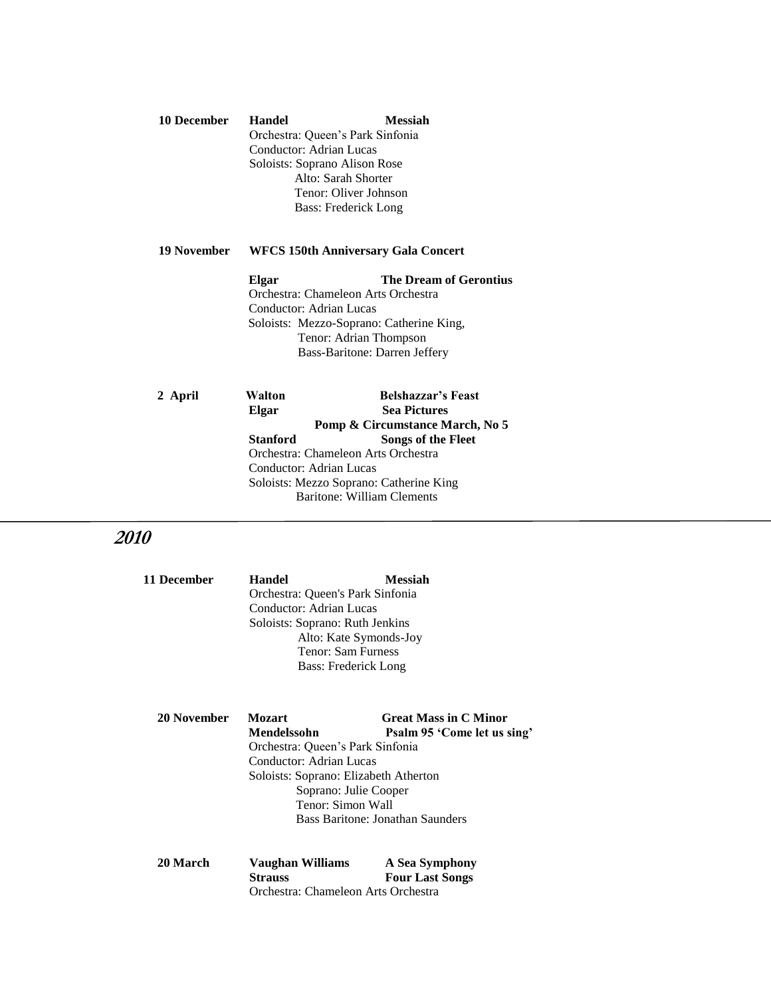**10 December Handel Messiah** Orchestra: Queen's Park Sinfonia Conductor: Adrian Lucas Soloists: Soprano Alison Rose Alto: Sarah Shorter Tenor: Oliver Johnson Bass: Frederick Long

#### **19 November WFCS 150th Anniversary Gala Concert**

 **Elgar The Dream of Gerontius** Orchestra: Chameleon Arts OrchestraConductor: Adrian Lucas Soloists: Mezzo-Soprano: Catherine King, Tenor: Adrian Thompson Bass-Baritone: Darren Jeffery

|                                                                                                           | 2 April                         | Walton                     | <b>Belshazzar's Feast</b> |
|-----------------------------------------------------------------------------------------------------------|---------------------------------|----------------------------|---------------------------|
|                                                                                                           |                                 | Elgar                      | <b>Sea Pictures</b>       |
|                                                                                                           | Pomp & Circumstance March, No 5 |                            |                           |
|                                                                                                           |                                 | <b>Stanford</b>            | Songs of the Fleet        |
| Orchestra: Chameleon Arts Orchestra<br>Conductor: Adrian Lucas<br>Soloists: Mezzo Soprano: Catherine King |                                 |                            |                           |
|                                                                                                           |                                 |                            |                           |
|                                                                                                           |                                 |                            |                           |
|                                                                                                           |                                 | Baritone: William Clements |                           |
|                                                                                                           |                                 |                            |                           |

| 11 December | Handel<br>Orchestra: Queen's Park Sinfonia<br>Conductor: Adrian Lucas<br>Soloists: Soprano: Ruth Jenkins<br>Alto: Kate Symonds-Joy<br>Tenor: Sam Furness<br>Bass: Frederick Long                                                                                               | <b>Messiah</b>                           |
|-------------|--------------------------------------------------------------------------------------------------------------------------------------------------------------------------------------------------------------------------------------------------------------------------------|------------------------------------------|
| 20 November | Mozart<br><b>Great Mass in C Minor</b><br>Mendelssohn<br>Psalm 95 'Come let us sing'<br>Orchestra: Queen's Park Sinfonia<br>Conductor: Adrian Lucas<br>Soloists: Soprano: Elizabeth Atherton<br>Soprano: Julie Cooper<br>Tenor: Simon Wall<br>Bass Baritone: Jonathan Saunders |                                          |
| 20 March    | Vaughan Williams<br><b>Strauss</b><br>Orchestra: Chameleon Arts Orchestra                                                                                                                                                                                                      | A Sea Symphony<br><b>Four Last Songs</b> |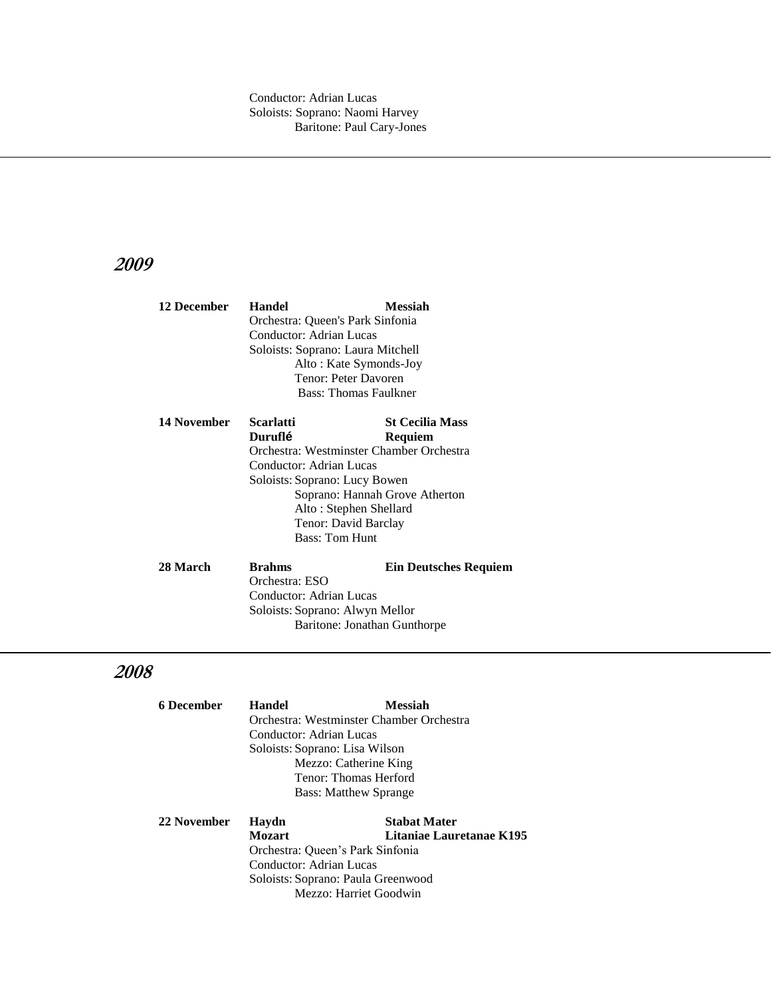| 12 December                     | <b>Handel</b>                     | <b>Messiah</b>                           |  |
|---------------------------------|-----------------------------------|------------------------------------------|--|
|                                 | Orchestra: Queen's Park Sinfonia  |                                          |  |
|                                 | Conductor: Adrian Lucas           |                                          |  |
|                                 | Soloists: Soprano: Laura Mitchell |                                          |  |
|                                 |                                   | Alto: Kate Symonds-Joy                   |  |
|                                 |                                   | Tenor: Peter Davoren                     |  |
|                                 |                                   | Bass: Thomas Faulkner                    |  |
|                                 |                                   |                                          |  |
| 14 November                     | Scarlatti                         | <b>St Cecilia Mass</b>                   |  |
|                                 | Duruflé                           | Requiem                                  |  |
|                                 |                                   | Orchestra: Westminster Chamber Orchestra |  |
|                                 | Conductor: Adrian Lucas           |                                          |  |
|                                 | Soloists: Soprano: Lucy Bowen     |                                          |  |
|                                 |                                   | Soprano: Hannah Grove Atherton           |  |
|                                 |                                   | Alto: Stephen Shellard                   |  |
|                                 |                                   | Tenor: David Barclay                     |  |
|                                 | <b>Bass: Tom Hunt</b>             |                                          |  |
| 28 March                        | <b>Brahms</b>                     | <b>Ein Deutsches Requiem</b>             |  |
|                                 | Orchestra: ESO                    |                                          |  |
|                                 | Conductor: Adrian Lucas           |                                          |  |
|                                 |                                   |                                          |  |
| Soloists: Soprano: Alwyn Mellor |                                   |                                          |  |
|                                 | Baritone: Jonathan Gunthorpe      |                                          |  |

| 6 December  | <b>Handel</b>                            | <b>Messiah</b>                     |  |
|-------------|------------------------------------------|------------------------------------|--|
|             | Orchestra: Westminster Chamber Orchestra |                                    |  |
|             | Conductor: Adrian Lucas                  |                                    |  |
|             | Soloists: Soprano: Lisa Wilson           |                                    |  |
|             |                                          | Mezzo: Catherine King              |  |
|             |                                          | Tenor: Thomas Herford              |  |
|             | <b>Bass: Matthew Sprange</b>             |                                    |  |
| 22 November | Haydn                                    | <b>Stabat Mater</b>                |  |
|             | <b>Mozart</b>                            | Litaniae Lauretanae K195           |  |
|             | Orchestra: Queen's Park Sinfonia         |                                    |  |
|             | Conductor: Adrian Lucas                  |                                    |  |
|             |                                          | Soloists: Soprano: Paula Greenwood |  |
|             |                                          | Mezzo: Harriet Goodwin             |  |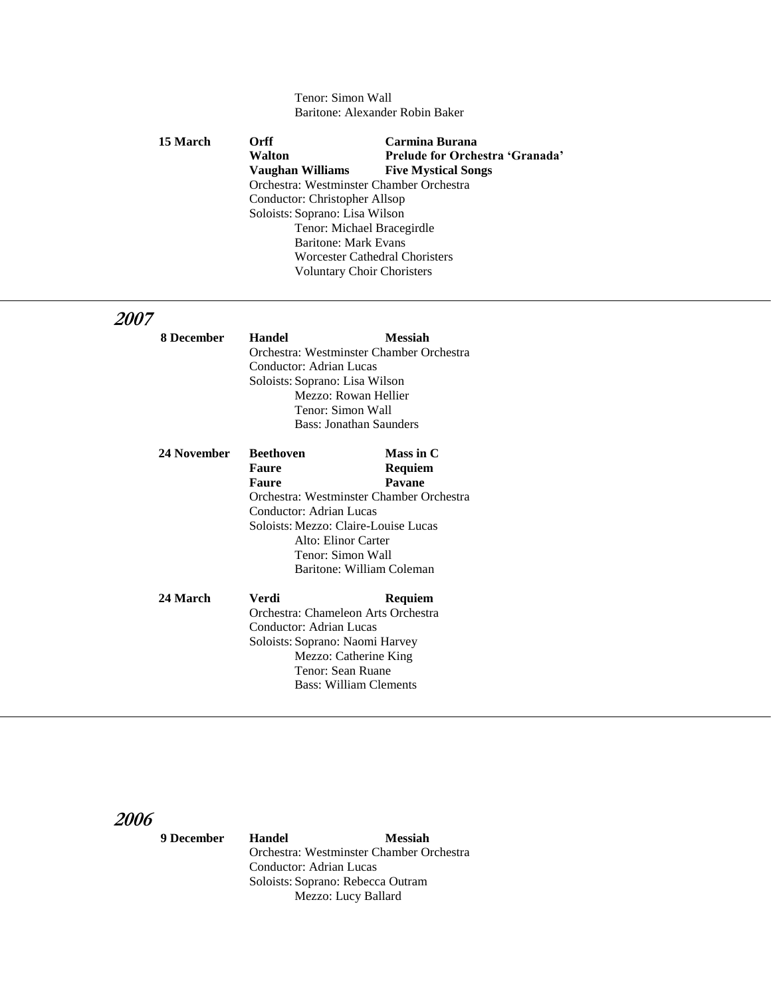#### Tenor: Simon Wall Baritone: Alexander Robin Baker

| <b>15 March</b>                                                                             | <b>Orff</b>                       | Carmina Burana                  |  |
|---------------------------------------------------------------------------------------------|-----------------------------------|---------------------------------|--|
|                                                                                             | Walton                            | Prelude for Orchestra 'Granada' |  |
|                                                                                             | Vaughan Williams                  | <b>Five Mystical Songs</b>      |  |
| Orchestra: Westminster Chamber Orchestra                                                    |                                   |                                 |  |
|                                                                                             | Conductor: Christopher Allsop     |                                 |  |
|                                                                                             | Soloists: Soprano: Lisa Wilson    |                                 |  |
| Tenor: Michael Bracegirdle<br><b>Baritone: Mark Evans</b><br>Worcester Cathedral Choristers |                                   |                                 |  |
|                                                                                             |                                   |                                 |  |
|                                                                                             |                                   |                                 |  |
|                                                                                             | <b>Voluntary Choir Choristers</b> |                                 |  |

## **2007**

| 8 December  | <b>Handel</b>                            | <b>Messiah</b>                           |
|-------------|------------------------------------------|------------------------------------------|
|             | Orchestra: Westminster Chamber Orchestra |                                          |
|             | Conductor: Adrian Lucas                  |                                          |
|             | Soloists: Soprano: Lisa Wilson           |                                          |
|             |                                          | Mezzo: Rowan Hellier                     |
|             |                                          | Tenor: Simon Wall                        |
|             |                                          | Bass: Jonathan Saunders                  |
| 24 November | <b>Beethoven</b>                         | Mass in C                                |
|             | <b>Faure</b>                             | Requiem                                  |
|             | Faure                                    | Pavane                                   |
|             |                                          | Orchestra: Westminster Chamber Orchestra |
|             | Conductor: Adrian Lucas                  |                                          |
|             |                                          | Soloists: Mezzo: Claire-Louise Lucas     |
|             |                                          | Alto: Elinor Carter                      |
|             |                                          | Tenor: Simon Wall                        |
|             |                                          | Baritone: William Coleman                |
| 24 March    | Verdi                                    | Requiem                                  |
|             | Orchestra: Chameleon Arts Orchestra      |                                          |
|             | Conductor: Adrian Lucas                  |                                          |
|             | Soloists: Soprano: Naomi Harvey          |                                          |
|             |                                          | Mezzo: Catherine King                    |
|             |                                          | Tenor: Sean Ruane                        |
|             |                                          | <b>Bass: William Clements</b>            |

**2006**

 **9 December Handel Messiah** Orchestra: Westminster Chamber Orchestra Conductor: Adrian Lucas Soloists: Soprano: Rebecca Outram Mezzo: Lucy Ballard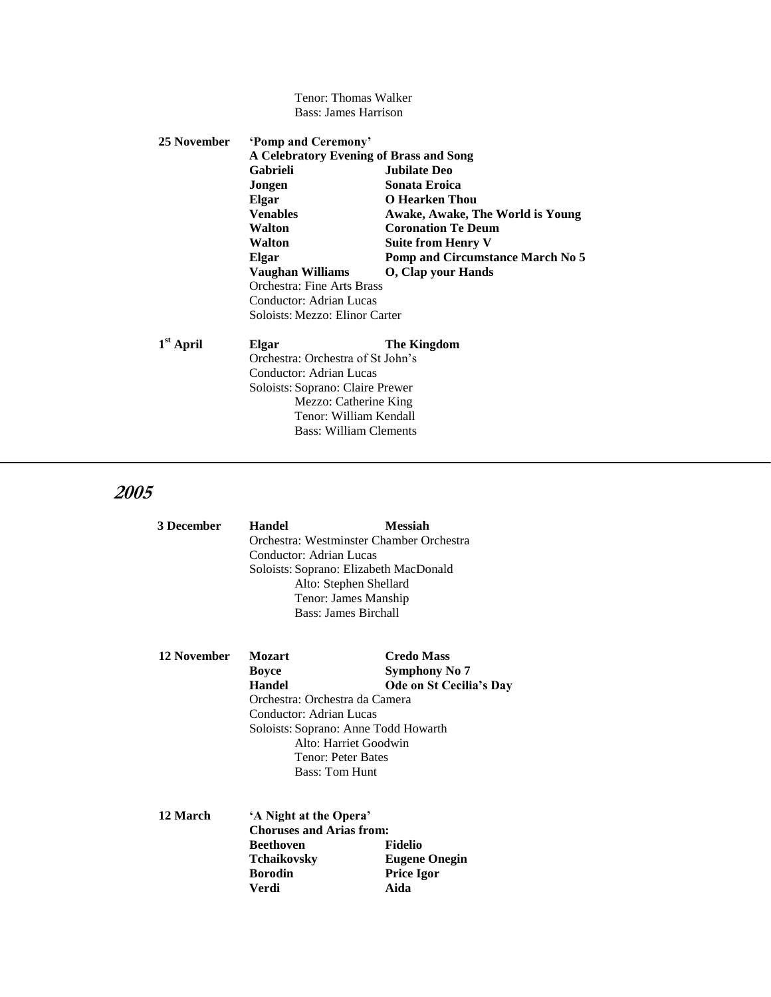Tenor: Thomas Walker Bass: James Harrison

| 25 November | 'Pomp and Ceremony'<br>A Celebratory Evening of Brass and Song |                                         |  |
|-------------|----------------------------------------------------------------|-----------------------------------------|--|
|             |                                                                |                                         |  |
|             | Gabrieli                                                       | <b>Jubilate Deo</b>                     |  |
|             | Jongen                                                         | Sonata Eroica                           |  |
|             | Elgar                                                          | O Hearken Thou                          |  |
|             | <b>Venables</b>                                                | Awake, Awake, The World is Young        |  |
|             | Walton                                                         | <b>Coronation Te Deum</b>               |  |
|             | Walton                                                         | Suite from Henry V                      |  |
|             | Elgar                                                          | <b>Pomp and Circumstance March No 5</b> |  |
|             | Vaughan Williams                                               | <b>O</b> , Clap your Hands              |  |
|             | Orchestra: Fine Arts Brass                                     |                                         |  |
|             | Conductor: Adrian Lucas                                        |                                         |  |
|             | Soloists: Mezzo: Elinor Carter                                 |                                         |  |
| $1st$ April | Elgar                                                          | The Kingdom                             |  |
|             | Orchestra: Orchestra of St John's                              |                                         |  |
|             | Conductor: Adrian Lucas                                        |                                         |  |
|             | Soloists: Soprano: Claire Prewer                               |                                         |  |
|             | Mezzo: Catherine King                                          |                                         |  |

Tenor: William Kendall Bass: William Clements

| 3 December | Handel                  | <b>Messiah</b>                           |
|------------|-------------------------|------------------------------------------|
|            |                         | Orchestra: Westminster Chamber Orchestra |
|            | Conductor: Adrian Lucas |                                          |
|            |                         | Soloists: Soprano: Elizabeth MacDonald   |
|            |                         | Alto: Stephen Shellard                   |
|            |                         | Tenor: James Manship                     |
|            |                         | Bass: James Birchall                     |

| <b>12 November</b> | <b>Mozart</b>                        | <b>Credo Mass</b>       |  |
|--------------------|--------------------------------------|-------------------------|--|
|                    | <b>Boyce</b>                         | Symphony No 7           |  |
|                    | <b>Handel</b>                        | Ode on St Cecilia's Day |  |
|                    | Orchestra: Orchestra da Camera       |                         |  |
|                    | Conductor: Adrian Lucas              |                         |  |
|                    | Soloists: Soprano: Anne Todd Howarth |                         |  |
|                    |                                      | Alto: Harriet Goodwin   |  |
|                    |                                      | Tenor: Peter Bates      |  |
|                    |                                      | <b>Bass: Tom Hunt</b>   |  |
|                    |                                      |                         |  |
|                    |                                      |                         |  |

| 12 March | 'A Night at the Opera'          |                      |  |
|----------|---------------------------------|----------------------|--|
|          | <b>Choruses and Arias from:</b> |                      |  |
|          | <b>Beethoven</b>                | <b>Fidelio</b>       |  |
|          | <b>Tchaikovsky</b>              | <b>Eugene Onegin</b> |  |
|          | <b>Borodin</b>                  | <b>Price Igor</b>    |  |
|          | Verdi                           | Aida                 |  |
|          |                                 |                      |  |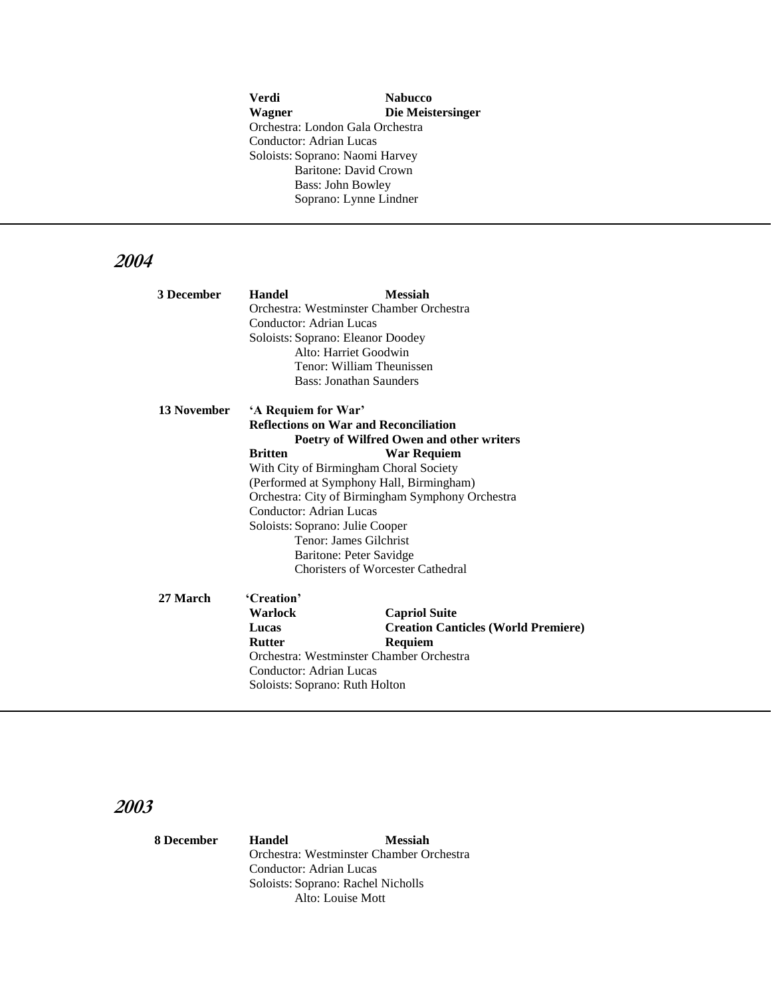**Verdi Nabucco Wagner Die Meistersinger** Orchestra: London Gala Orchestra Conductor: Adrian Lucas Soloists: Soprano: Naomi Harvey Baritone: David Crown Bass: John Bowley Soprano: Lynne Lindner

## **2004**

| 3 December  | <b>Handel</b>                                    | <b>Messiah</b>                               |  |
|-------------|--------------------------------------------------|----------------------------------------------|--|
|             |                                                  | Orchestra: Westminster Chamber Orchestra     |  |
|             | Conductor: Adrian Lucas                          |                                              |  |
|             |                                                  | Soloists: Soprano: Eleanor Doodey            |  |
|             |                                                  | Alto: Harriet Goodwin                        |  |
|             |                                                  | Tenor: William Theunissen                    |  |
|             |                                                  | Bass: Jonathan Saunders                      |  |
| 13 November | 'A Requiem for War'                              |                                              |  |
|             |                                                  | <b>Reflections on War and Reconciliation</b> |  |
|             |                                                  | Poetry of Wilfred Owen and other writers     |  |
|             | <b>Britten</b>                                   | <b>War Requiem</b>                           |  |
|             |                                                  | With City of Birmingham Choral Society       |  |
|             | (Performed at Symphony Hall, Birmingham)         |                                              |  |
|             | Orchestra: City of Birmingham Symphony Orchestra |                                              |  |
|             | Conductor: Adrian Lucas                          |                                              |  |
|             | Soloists: Soprano: Julie Cooper                  |                                              |  |
|             |                                                  | Tenor: James Gilchrist                       |  |
|             |                                                  | Baritone: Peter Savidge                      |  |
|             |                                                  | Choristers of Worcester Cathedral            |  |
| 27 March    | 'Creation'                                       |                                              |  |
|             | Warlock                                          | <b>Capriol Suite</b>                         |  |
|             | Lucas                                            | <b>Creation Canticles (World Premiere)</b>   |  |
|             | <b>Rutter</b>                                    | Requiem                                      |  |
|             | Orchestra: Westminster Chamber Orchestra         |                                              |  |
|             | Conductor: Adrian Lucas                          |                                              |  |
|             | Soloists: Soprano: Ruth Holton                   |                                              |  |

## **2003**

 **8 December Handel Messiah** Orchestra: Westminster Chamber Orchestra Conductor: Adrian Lucas Soloists: Soprano: Rachel Nicholls Alto: Louise Mott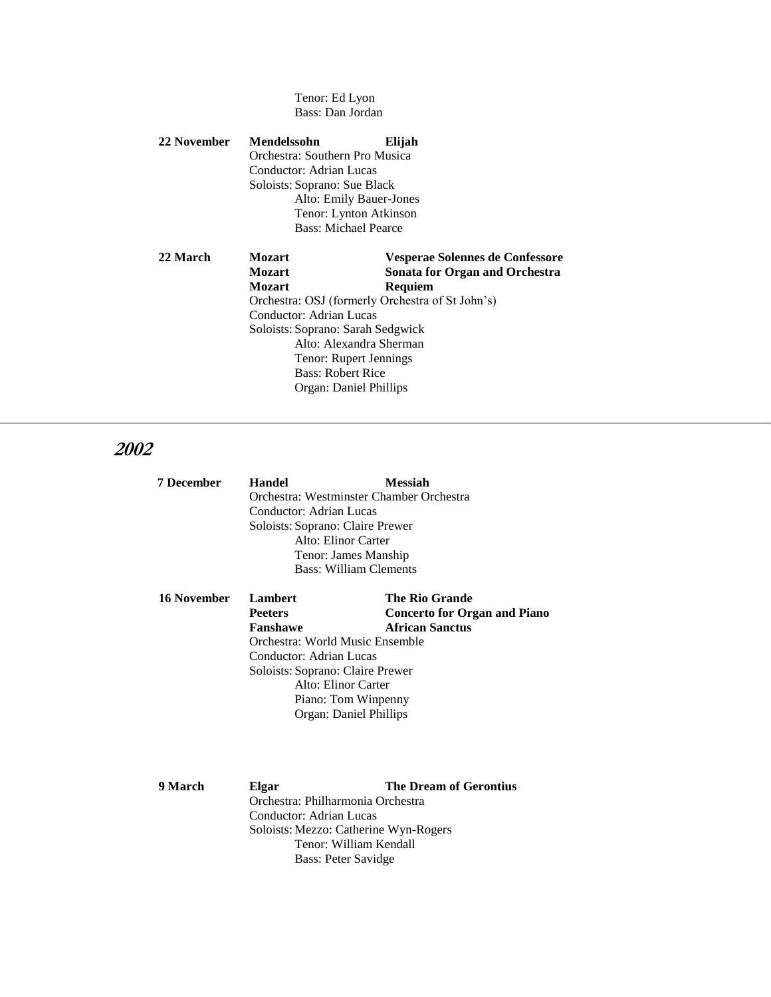Tenor: Ed Lyon Bass: Dan Jordan

#### **22 November Mendelssohn Elijah** Orchestra: Southern Pro Musica Conductor: Adrian Lucas Soloists: Soprano: Sue Black Alto: Emily Bauer-Jones Tenor: Lynton Atkinson Bass: Michael Pearce

#### **22 March Mozart Vesperae Solennes de Confessore Mozart Sonata for Organ and Orchestra Mozart Requiem** Orchestra: OSJ (formerly Orchestra of St John's) Conductor: Adrian Lucas Soloists: Soprano: Sarah Sedgwick Alto: Alexandra Sherman Tenor: Rupert Jennings Bass: Robert Rice Organ: Daniel Phillips

## **2002**

| <b>7 December</b> | <b>Handel</b>                    | Messiah                                  |
|-------------------|----------------------------------|------------------------------------------|
|                   |                                  | Orchestra: Westminster Chamber Orchestra |
|                   | Conductor: Adrian Lucas          |                                          |
|                   | Soloists: Soprano: Claire Prewer |                                          |
|                   |                                  | Alto: Elinor Carter                      |
|                   |                                  | Tenor: James Manship                     |
|                   |                                  | Bass: William Clements                   |
|                   |                                  |                                          |

| <b>16 November</b> | <b>Lambert</b>                   | <b>The Rio Grande</b>               |  |
|--------------------|----------------------------------|-------------------------------------|--|
|                    | <b>Peeters</b>                   | <b>Concerto for Organ and Piano</b> |  |
|                    | Fanshawe                         | <b>African Sanctus</b>              |  |
|                    | Orchestra: World Music Ensemble  |                                     |  |
|                    | Conductor: Adrian Lucas          |                                     |  |
|                    | Soloists: Soprano: Claire Prewer |                                     |  |
|                    | Alto: Elinor Carter              |                                     |  |
|                    |                                  | Piano: Tom Winpenny                 |  |
|                    |                                  | Organ: Daniel Phillips              |  |
|                    |                                  |                                     |  |

**9 March Elgar The Dream of Gerontius** Orchestra: Philharmonia Orchestra Conductor: Adrian Lucas Soloists: Mezzo: Catherine Wyn-Rogers Tenor: William Kendall Bass: Peter Savidge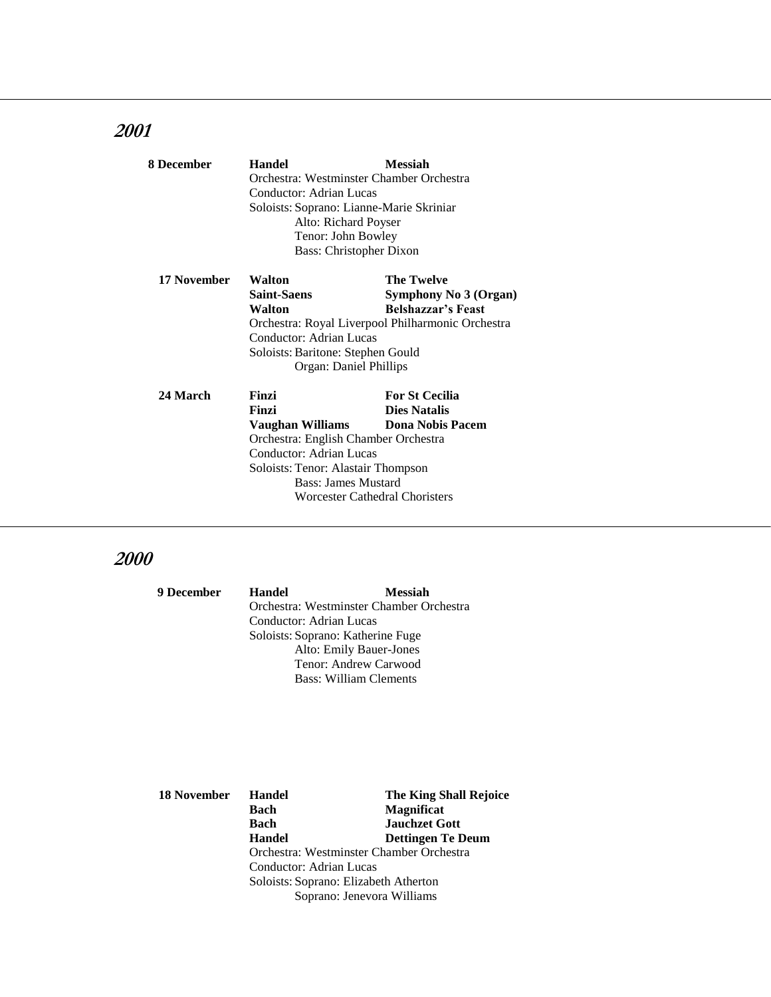| 8 December      | <b>Handel</b>                            | <b>Messiah</b>                                    |  |  |
|-----------------|------------------------------------------|---------------------------------------------------|--|--|
|                 | Orchestra: Westminster Chamber Orchestra |                                                   |  |  |
|                 | Conductor: Adrian Lucas                  |                                                   |  |  |
|                 | Soloists: Soprano: Lianne-Marie Skriniar |                                                   |  |  |
|                 | Alto: Richard Poyser                     |                                                   |  |  |
|                 | Tenor: John Bowley                       |                                                   |  |  |
|                 | <b>Bass: Christopher Dixon</b>           |                                                   |  |  |
| 17 November     | Walton                                   | <b>The Twelve</b>                                 |  |  |
|                 | <b>Saint-Saens</b>                       | Symphony No 3 (Organ)                             |  |  |
|                 | Walton                                   | <b>Belshazzar's Feast</b>                         |  |  |
|                 |                                          | Orchestra: Royal Liverpool Philharmonic Orchestra |  |  |
|                 | Conductor: Adrian Lucas                  |                                                   |  |  |
|                 | Soloists: Baritone: Stephen Gould        |                                                   |  |  |
|                 | Organ: Daniel Phillips                   |                                                   |  |  |
| <b>24 March</b> | Finzi                                    | <b>For St Cecilia</b>                             |  |  |
|                 | Finzi                                    | <b>Dies Natalis</b>                               |  |  |
|                 | Vaughan Williams                         | <b>Dona Nobis Pacem</b>                           |  |  |
|                 | Orchestra: English Chamber Orchestra     |                                                   |  |  |
|                 | Conductor: Adrian Lucas                  |                                                   |  |  |
|                 | Soloists: Tenor: Alastair Thompson       |                                                   |  |  |
|                 | <b>Bass: James Mustard</b>               |                                                   |  |  |
|                 |                                          | <b>Worcester Cathedral Choristers</b>             |  |  |

| <b>9 December</b> | Handel                            | <b>Messiah</b>                           |
|-------------------|-----------------------------------|------------------------------------------|
|                   |                                   | Orchestra: Westminster Chamber Orchestra |
|                   | Conductor: Adrian Lucas           |                                          |
|                   | Soloists: Soprano: Katherine Fuge |                                          |
|                   |                                   | Alto: Emily Bauer-Jones                  |
|                   |                                   | Tenor: Andrew Carwood                    |
|                   |                                   | <b>Bass: William Clements</b>            |

| 18 November | <b>Handel</b>                            | <b>The King Shall Rejoice</b> |
|-------------|------------------------------------------|-------------------------------|
|             | Bach                                     | <b>Magnificat</b>             |
|             | Bach                                     | <b>Jauchzet Gott</b>          |
|             | <b>Handel</b>                            | <b>Dettingen Te Deum</b>      |
|             | Orchestra: Westminster Chamber Orchestra |                               |
|             | Conductor: Adrian Lucas                  |                               |
|             | Soloists: Soprano: Elizabeth Atherton    |                               |
|             | Soprano: Jenevora Williams               |                               |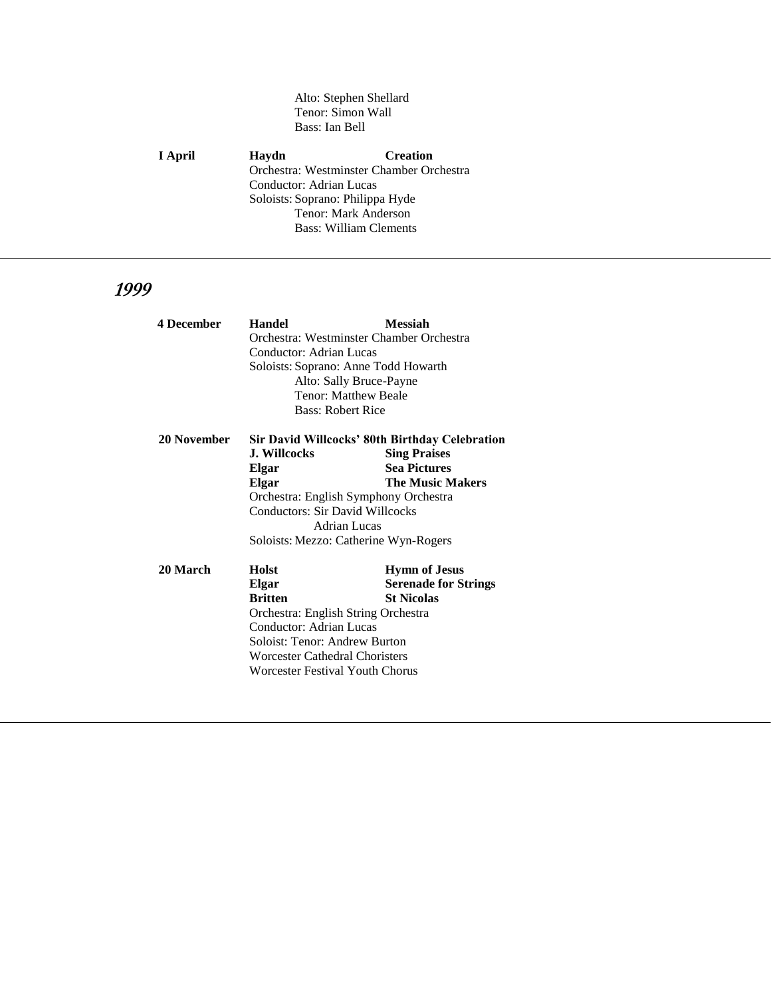#### Alto: Stephen Shellard Tenor: Simon Wall Bass: Ian Bell

**I April Haydn Creation** Orchestra: Westminster Chamber Orchestra Conductor: Adrian Lucas Soloists: Soprano: Philippa Hyde Tenor: Mark Anderson Bass: William Clements

| <b>4 December</b> | <b>Handel</b>                          | <b>Messiah</b>                                        |
|-------------------|----------------------------------------|-------------------------------------------------------|
|                   |                                        | Orchestra: Westminster Chamber Orchestra              |
|                   | Conductor: Adrian Lucas                |                                                       |
|                   | Soloists: Soprano: Anne Todd Howarth   |                                                       |
|                   |                                        | Alto: Sally Bruce-Payne                               |
|                   |                                        | Tenor: Matthew Beale                                  |
|                   | <b>Bass: Robert Rice</b>               |                                                       |
| 20 November       |                                        | <b>Sir David Willcocks' 80th Birthday Celebration</b> |
|                   | <b>J. Willcocks</b>                    | <b>Sing Praises</b>                                   |
|                   | Elgar                                  | <b>Sea Pictures</b>                                   |
|                   | Elgar                                  | <b>The Music Makers</b>                               |
|                   |                                        | Orchestra: English Symphony Orchestra                 |
|                   | <b>Conductors: Sir David Willcocks</b> |                                                       |
|                   | Adrian Lucas                           |                                                       |
|                   |                                        | Soloists: Mezzo: Catherine Wyn-Rogers                 |
| 20 March          | Holst                                  | <b>Hymn of Jesus</b>                                  |
|                   | Elgar                                  | <b>Serenade for Strings</b>                           |
|                   | <b>Britten</b>                         | <b>St Nicolas</b>                                     |
|                   | Orchestra: English String Orchestra    |                                                       |
|                   | Conductor: Adrian Lucas                |                                                       |
|                   | Soloist: Tenor: Andrew Burton          |                                                       |
|                   | <b>Worcester Cathedral Choristers</b>  |                                                       |
|                   | Worcester Festival Youth Chorus        |                                                       |
|                   |                                        |                                                       |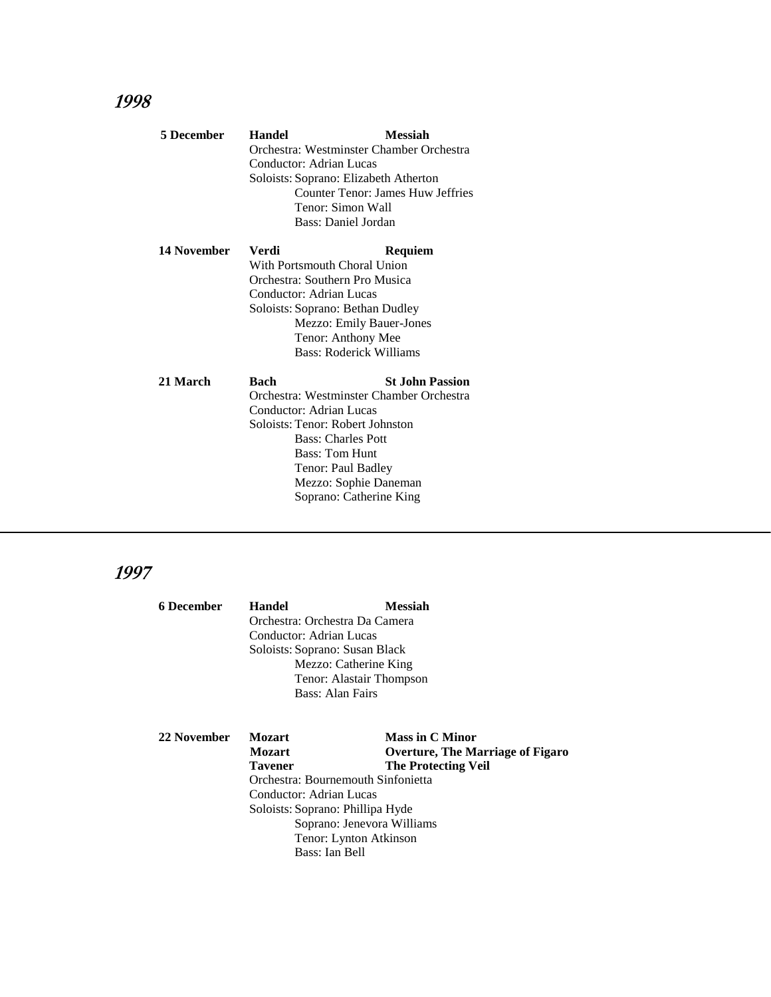| <b>5 December</b> | <b>Handel</b>           | <b>Messiah</b>                           |
|-------------------|-------------------------|------------------------------------------|
|                   |                         | Orchestra: Westminster Chamber Orchestra |
|                   | Conductor: Adrian Lucas |                                          |
|                   |                         | Soloists: Soprano: Elizabeth Atherton    |
|                   |                         | Counter Tenor: James Huw Jeffries        |
|                   |                         | Tenor: Simon Wall                        |
|                   |                         | Bass: Daniel Jordan                      |
| 14 November       | Verdi                   | Requiem                                  |
|                   |                         | With Portsmouth Choral Union             |
|                   |                         | Orchestra: Southern Pro Musica           |
|                   | Conductor: Adrian Lucas |                                          |
|                   |                         | Soloists: Soprano: Bethan Dudley         |
|                   |                         | Mezzo: Emily Bauer-Jones                 |
|                   |                         | Tenor: Anthony Mee                       |
|                   |                         | Bass: Roderick Williams                  |
| 21 March          | Bach                    | <b>St. John Passion</b>                  |
|                   |                         | Orchestra: Westminster Chamber Orchestra |
|                   | Conductor: Adrian Lucas |                                          |
|                   |                         | Soloists: Tenor: Robert Johnston         |
|                   |                         | <b>Bass: Charles Pott</b>                |
|                   |                         | <b>Bass: Tom Hunt</b>                    |
|                   |                         | Tenor: Paul Badley                       |
|                   |                         | Mezzo: Sophie Daneman                    |
|                   |                         | Soprano: Catherine King                  |
|                   |                         |                                          |

| 6 December  | <b>Handel</b>                                                                                     | <b>Messiah</b>                          |  |  |
|-------------|---------------------------------------------------------------------------------------------------|-----------------------------------------|--|--|
|             | Orchestra: Orchestra Da Camera                                                                    |                                         |  |  |
|             | Conductor: Adrian Lucas                                                                           |                                         |  |  |
|             | Soloists: Soprano: Susan Black                                                                    |                                         |  |  |
|             | Mezzo: Catherine King                                                                             |                                         |  |  |
|             | Tenor: Alastair Thompson                                                                          |                                         |  |  |
|             | Bass: Alan Fairs                                                                                  |                                         |  |  |
|             |                                                                                                   |                                         |  |  |
| 22 November | <b>Mozart</b>                                                                                     | <b>Mass in C Minor</b>                  |  |  |
|             | <b>Mozart</b>                                                                                     | <b>Overture, The Marriage of Figaro</b> |  |  |
|             | <b>Tavener</b>                                                                                    | <b>The Protecting Veil</b>              |  |  |
|             | Orchestra: Bournemouth Sinfonietta<br>Conductor: Adrian Lucas<br>Soloists: Soprano: Phillipa Hyde |                                         |  |  |
|             |                                                                                                   |                                         |  |  |
|             |                                                                                                   |                                         |  |  |
|             | Soprano: Jenevora Williams                                                                        |                                         |  |  |
|             | Tenor: Lynton Atkinson                                                                            |                                         |  |  |
|             | Bass: Ian Bell                                                                                    |                                         |  |  |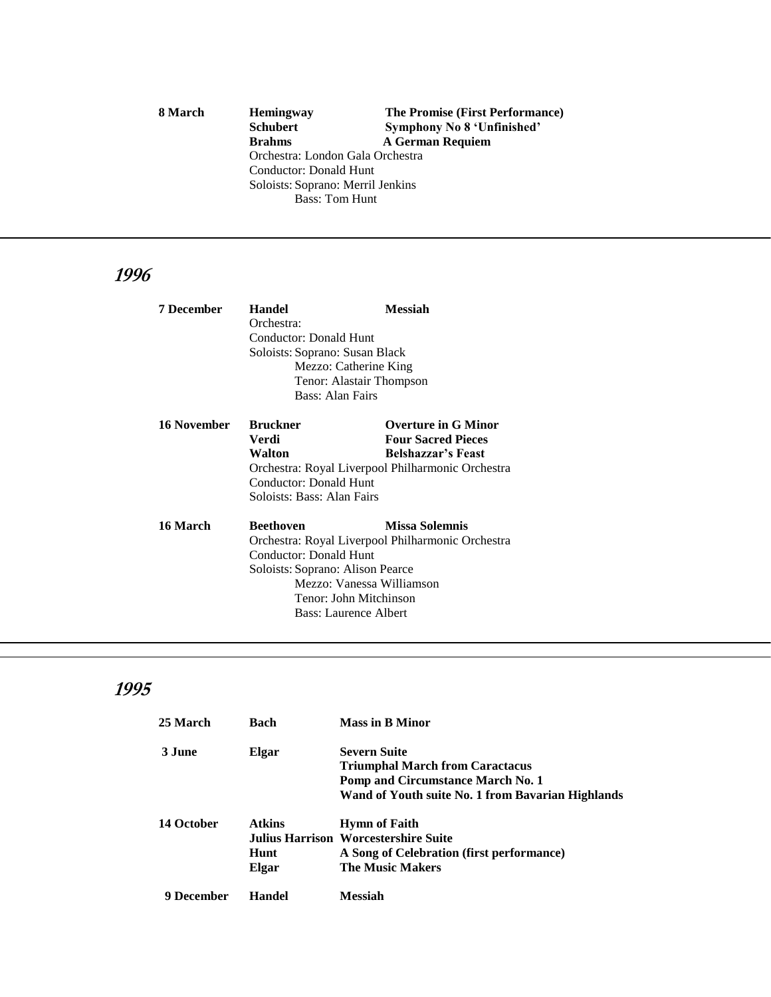8 March **Hemingway** The Promise (First Performance)<br> **8 Schubert** Symphony No 8 'Unfinished' **Schubert Symphony No 8 'Unfinished'**<br>**Brahms A German Requiem Brahms A German Requiem** Orchestra: London Gala Orchestra Conductor: Donald Hunt Soloists: Soprano: Merril Jenkins Bass: Tom Hunt

## **1996**

| <b>7 December</b> | <b>Handel</b>                                                               | <b>Messiah</b>             |  |
|-------------------|-----------------------------------------------------------------------------|----------------------------|--|
|                   | Orchestra:                                                                  |                            |  |
|                   | Conductor: Donald Hunt                                                      |                            |  |
|                   | Soloists: Soprano: Susan Black                                              |                            |  |
|                   | Mezzo: Catherine King                                                       |                            |  |
|                   | Tenor: Alastair Thompson                                                    |                            |  |
|                   | Bass: Alan Fairs                                                            |                            |  |
| 16 November       | <b>Bruckner</b>                                                             | <b>Overture in G Minor</b> |  |
|                   | Verdi                                                                       | <b>Four Sacred Pieces</b>  |  |
|                   | Walton                                                                      | <b>Belshazzar's Feast</b>  |  |
|                   | Orchestra: Royal Liverpool Philharmonic Orchestra                           |                            |  |
|                   | Conductor: Donald Hunt                                                      |                            |  |
|                   | Soloists: Bass: Alan Fairs                                                  |                            |  |
| 16 March          | <b>Beethoven</b>                                                            | <b>Missa Solemnis</b>      |  |
|                   | Orchestra: Royal Liverpool Philharmonic Orchestra<br>Conductor: Donald Hunt |                            |  |
|                   |                                                                             |                            |  |
|                   | Soloists: Soprano: Alison Pearce                                            |                            |  |
|                   | Mezzo: Vanessa Williamson                                                   |                            |  |
|                   | Tenor: John Mitchinson                                                      |                            |  |
|                   | <b>Bass: Laurence Albert</b>                                                |                            |  |

| 25 March   | Bach          | <b>Mass in B Minor</b>                            |
|------------|---------------|---------------------------------------------------|
| 3 June     | Elgar         | <b>Severn Suite</b>                               |
|            |               | <b>Triumphal March from Caractacus</b>            |
|            |               | <b>Pomp and Circumstance March No. 1</b>          |
|            |               | Wand of Youth suite No. 1 from Bavarian Highlands |
| 14 October | <b>Atkins</b> | <b>Hymn of Faith</b>                              |
|            |               | Julius Harrison Worcestershire Suite              |
|            | Hunt          | A Song of Celebration (first performance)         |
|            | Elgar         | <b>The Music Makers</b>                           |
| 9 December | Handel        | <b>Messiah</b>                                    |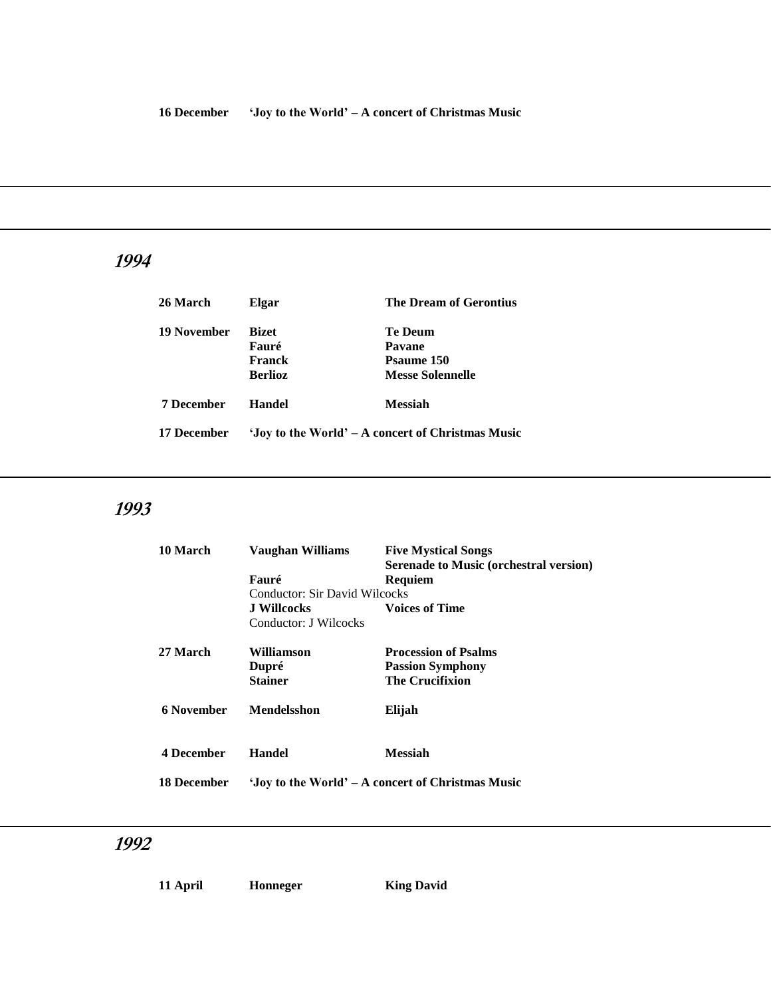| 26 March           | Elgar                                             | <b>The Dream of Gerontius</b>                              |
|--------------------|---------------------------------------------------|------------------------------------------------------------|
| <b>19 November</b> | <b>Bizet</b><br>Fauré<br>Franck<br><b>Berlioz</b> | Te Deum<br>Pavane<br>Psaume 150<br><b>Messe Solennelle</b> |
| <b>7 December</b>  | Handel                                            | <b>Messiah</b>                                             |
| 17 December        | 'Joy to the World' – A concert of Christmas Music |                                                            |

# **1993**

| 10 March           | Vaughan Williams              | <b>Five Mystical Songs</b><br><b>Serenade to Music (orchestral version)</b> |
|--------------------|-------------------------------|-----------------------------------------------------------------------------|
|                    | Fauré                         | Requiem                                                                     |
|                    | Conductor: Sir David Wilcocks |                                                                             |
|                    | J Willcocks                   | <b>Voices of Time</b>                                                       |
|                    | Conductor: J Wilcocks         |                                                                             |
| 27 March           | Williamson                    | <b>Procession of Psalms</b>                                                 |
|                    | Dupré                         | <b>Passion Symphony</b>                                                     |
|                    | <b>Stainer</b>                | <b>The Crucifixion</b>                                                      |
| 6 November         | <b>Mendelsshon</b>            | Elijah                                                                      |
| <b>4 December</b>  | Handel                        | <b>Messiah</b>                                                              |
| <b>18 December</b> |                               | 'Joy to the World' – A concert of Christmas Music                           |

| ۱l<br>н<br>п |  |
|--------------|--|
|--------------|--|